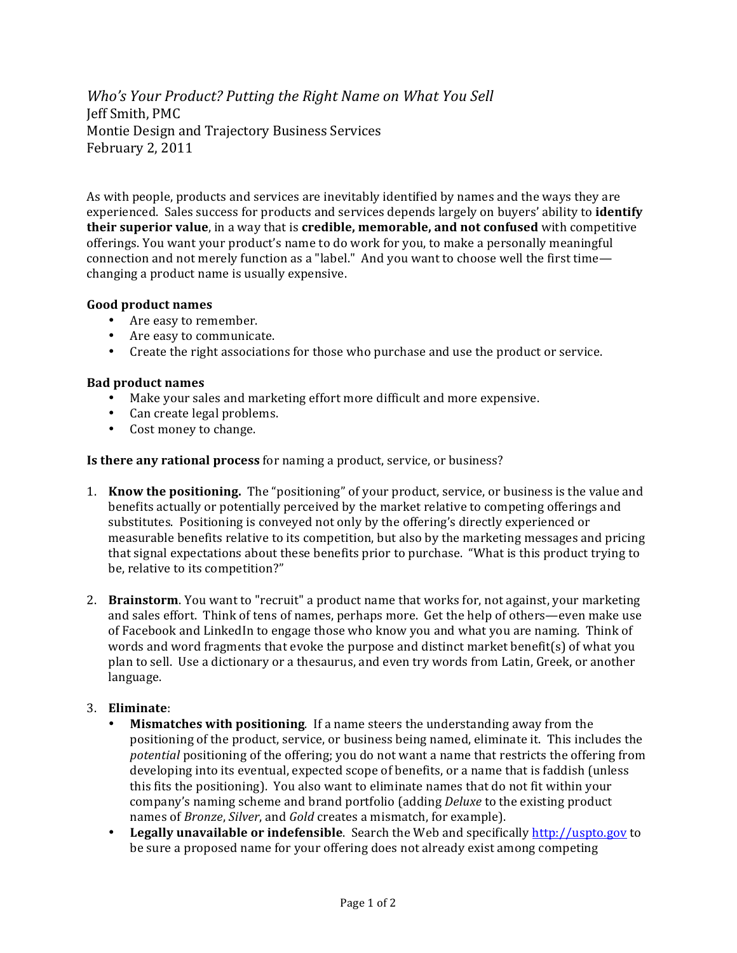*Who's Your Product? Putting the Right Name on What You Sell* Jeff Smith, PMC Montie Design and Trajectory Business Services February 2, 2011

As with people, products and services are inevitably identified by names and the ways they are experienced. Sales success for products and services depends largely on buyers' ability to *identify* **their superior value**, in a way that is **credible, memorable, and not confused** with competitive offerings. You want your product's name to do work for you, to make a personally meaningful connection and not merely function as a "label." And you want to choose well the first time changing a product name is usually expensive.

## Good product names

- Are easy to remember.
- Are easy to communicate.
- Create the right associations for those who purchase and use the product or service.

## **Bad product names**

- Make your sales and marketing effort more difficult and more expensive.
- $\bullet$  Can create legal problems.
- Cost money to change.

**Is there any rational process** for naming a product, service, or business?

- 1. **Know the positioning.** The "positioning" of your product, service, or business is the value and benefits actually or potentially perceived by the market relative to competing offerings and substitutes. Positioning is conveyed not only by the offering's directly experienced or measurable benefits relative to its competition, but also by the marketing messages and pricing that signal expectations about these benefits prior to purchase. "What is this product trying to be, relative to its competition?"
- 2. **Brainstorm**. You want to "recruit" a product name that works for, not against, your marketing and sales effort. Think of tens of names, perhaps more. Get the help of others—even make use of Facebook and LinkedIn to engage those who know you and what you are naming. Think of words and word fragments that evoke the purpose and distinct market benefit(s) of what you plan to sell. Use a dictionary or a thesaurus, and even try words from Latin, Greek, or another language.

## 3. **Eliminate**:

- **Mismatches with positioning.** If a name steers the understanding away from the positioning of the product, service, or business being named, eliminate it. This includes the *potential* positioning of the offering; you do not want a name that restricts the offering from developing into its eventual, expected scope of benefits, or a name that is faddish (unless this fits the positioning). You also want to eliminate names that do not fit within your company's naming scheme and brand portfolio (adding *Deluxe* to the existing product hames of *Bronze*, *Silver*, and *Gold* creates a mismatch, for example).
- Legally unavailable or indefensible. Search the Web and specifically http://uspto.gov to be sure a proposed name for your offering does not already exist among competing